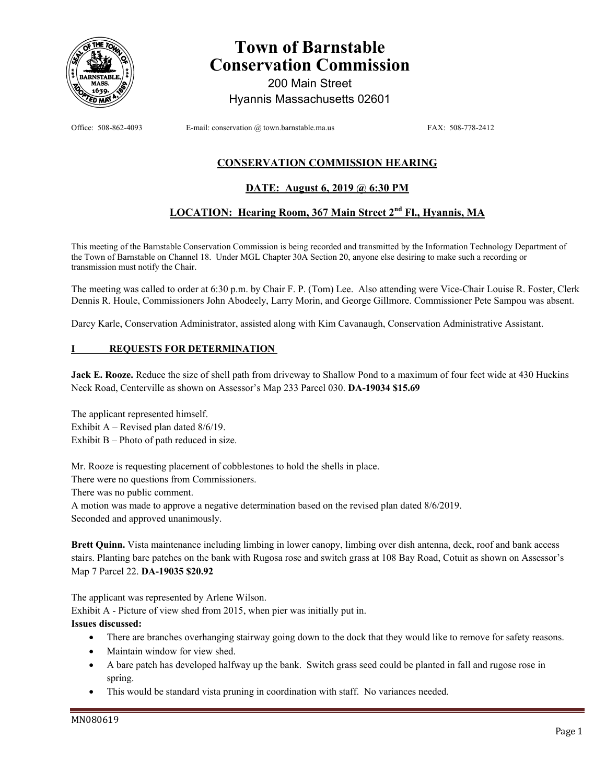

# **Town of Barnstable Conservation Commission**

200 Main Street Hyannis Massachusetts 02601

Office: 508-862-4093 E-mail: conservation @ town.barnstable.ma.us FAX: 508-778-2412

# **CONSERVATION COMMISSION HEARING**

## **DATE: August 6, 2019 @ 6:30 PM**

# **LOCATION: Hearing Room, 367 Main Street 2nd Fl., Hyannis, MA**

This meeting of the Barnstable Conservation Commission is being recorded and transmitted by the Information Technology Department of the Town of Barnstable on Channel 18. Under MGL Chapter 30A Section 20, anyone else desiring to make such a recording or transmission must notify the Chair.

The meeting was called to order at 6:30 p.m. by Chair F. P. (Tom) Lee. Also attending were Vice-Chair Louise R. Foster, Clerk Dennis R. Houle, Commissioners John Abodeely, Larry Morin, and George Gillmore. Commissioner Pete Sampou was absent.

Darcy Karle, Conservation Administrator, assisted along with Kim Cavanaugh, Conservation Administrative Assistant.

#### **REQUESTS FOR DETERMINATION**

**Jack E. Rooze.** Reduce the size of shell path from driveway to Shallow Pond to a maximum of four feet wide at 430 Huckins Neck Road, Centerville as shown on Assessor's Map 233 Parcel 030. **DA-19034 \$15.69** 

The applicant represented himself. Exhibit A – Revised plan dated 8/6/19.

Exhibit B – Photo of path reduced in size.

Mr. Rooze is requesting placement of cobblestones to hold the shells in place.

There were no questions from Commissioners.

There was no public comment.

A motion was made to approve a negative determination based on the revised plan dated 8/6/2019.

Seconded and approved unanimously.

**Brett Quinn.** Vista maintenance including limbing in lower canopy, limbing over dish antenna, deck, roof and bank access stairs. Planting bare patches on the bank with Rugosa rose and switch grass at 108 Bay Road, Cotuit as shown on Assessor's Map 7 Parcel 22. **DA-19035 \$20.92** 

The applicant was represented by Arlene Wilson.

Exhibit A - Picture of view shed from 2015, when pier was initially put in.

#### **Issues discussed:**

- There are branches overhanging stairway going down to the dock that they would like to remove for safety reasons.
- Maintain window for view shed.
- A bare patch has developed halfway up the bank. Switch grass seed could be planted in fall and rugose rose in spring.
- This would be standard vista pruning in coordination with staff. No variances needed.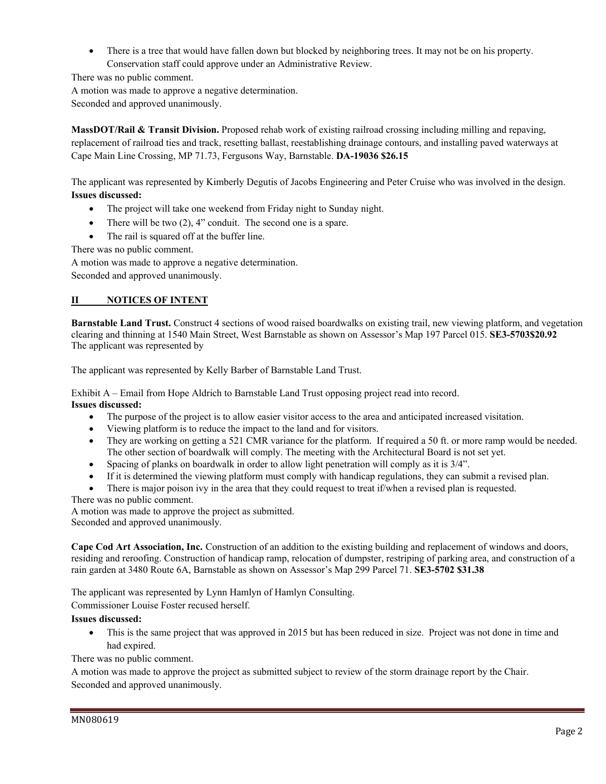• There is a tree that would have fallen down but blocked by neighboring trees. It may not be on his property. Conservation staff could approve under an Administrative Review.

There was no public comment.

A motion was made to approve a negative determination.

Seconded and approved unanimously.

**MassDOT/Rail & Transit Division.** Proposed rehab work of existing railroad crossing including milling and repaving, replacement of railroad ties and track, resetting ballast, reestablishing drainage contours, and installing paved waterways at Cape Main Line Crossing, MP 71.73, Fergusons Way, Barnstable. **DA-19036 \$26.15** 

The applicant was represented by Kimberly Degutis of Jacobs Engineering and Peter Cruise who was involved in the design. **Issues discussed:** 

- The project will take one weekend from Friday night to Sunday night.
- There will be two  $(2)$ , 4" conduit. The second one is a spare.
- The rail is squared off at the buffer line.

There was no public comment.

A motion was made to approve a negative determination.

Seconded and approved unanimously.

## **II NOTICES OF INTENT**

**Barnstable Land Trust.** Construct 4 sections of wood raised boardwalks on existing trail, new viewing platform, and vegetation clearing and thinning at 1540 Main Street, West Barnstable as shown on Assessor's Map 197 Parcel 015. **SE3-5703\$20.92**  The applicant was represented by

The applicant was represented by Kelly Barber of Barnstable Land Trust.

Exhibit A – Email from Hope Aldrich to Barnstable Land Trust opposing project read into record. **Issues discussed:** 

- The purpose of the project is to allow easier visitor access to the area and anticipated increased visitation.
- Viewing platform is to reduce the impact to the land and for visitors.
- They are working on getting a 521 CMR variance for the platform. If required a 50 ft. or more ramp would be needed. The other section of boardwalk will comply. The meeting with the Architectural Board is not set yet.
- Spacing of planks on boardwalk in order to allow light penetration will comply as it is 3/4".
- If it is determined the viewing platform must comply with handicap regulations, they can submit a revised plan.
- There is major poison ivy in the area that they could request to treat if/when a revised plan is requested.

There was no public comment.

A motion was made to approve the project as submitted. Seconded and approved unanimously.

**Cape Cod Art Association, Inc.** Construction of an addition to the existing building and replacement of windows and doors, residing and reroofing. Construction of handicap ramp, relocation of dumpster, restriping of parking area, and construction of a rain garden at 3480 Route 6A, Barnstable as shown on Assessor's Map 299 Parcel 71. **SE3-5702 \$31.38** 

The applicant was represented by Lynn Hamlyn of Hamlyn Consulting.

Commissioner Louise Foster recused herself.

## **Issues discussed:**

 This is the same project that was approved in 2015 but has been reduced in size. Project was not done in time and had expired.

There was no public comment.

A motion was made to approve the project as submitted subject to review of the storm drainage report by the Chair. Seconded and approved unanimously.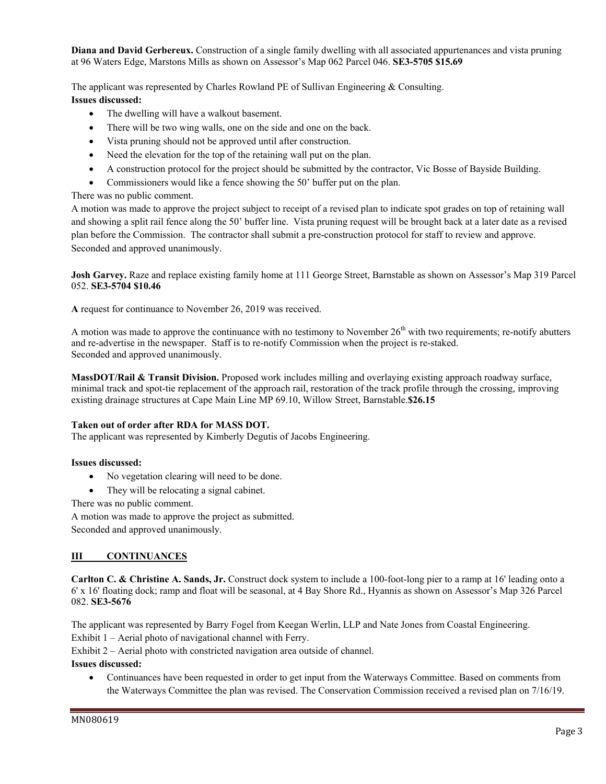**Diana and David Gerbereux.** Construction of a single family dwelling with all associated appurtenances and vista pruning at 96 Waters Edge, Marstons Mills as shown on Assessor's Map 062 Parcel 046. **SE3-5705 \$15.69** 

The applicant was represented by Charles Rowland PE of Sullivan Engineering & Consulting.

## **Issues discussed:**

- The dwelling will have a walkout basement.
- There will be two wing walls, one on the side and one on the back.
- Vista pruning should not be approved until after construction.
- Need the elevation for the top of the retaining wall put on the plan.
- A construction protocol for the project should be submitted by the contractor, Vic Bosse of Bayside Building.
- Commissioners would like a fence showing the 50' buffer put on the plan.

# There was no public comment.

A motion was made to approve the project subject to receipt of a revised plan to indicate spot grades on top of retaining wall and showing a split rail fence along the 50' buffer line. Vista pruning request will be brought back at a later date as a revised plan before the Commission. The contractor shall submit a pre-construction protocol for staff to review and approve. Seconded and approved unanimously.

**Josh Garvey.** Raze and replace existing family home at 111 George Street, Barnstable as shown on Assessor's Map 319 Parcel 052. **SE3-5704 \$10.46** 

**A** request for continuance to November 26, 2019 was received.

A motion was made to approve the continuance with no testimony to November  $26<sup>th</sup>$  with two requirements; re-notify abutters and re-advertise in the newspaper. Staff is to re-notify Commission when the project is re-staked. Seconded and approved unanimously.

**MassDOT/Rail & Transit Division.** Proposed work includes milling and overlaying existing approach roadway surface, minimal track and spot-tie replacement of the approach rail, restoration of the track profile through the crossing, improving existing drainage structures at Cape Main Line MP 69.10, Willow Street, Barnstable.**\$26.15** 

# **Taken out of order after RDA for MASS DOT.**

The applicant was represented by Kimberly Degutis of Jacobs Engineering.

# **Issues discussed:**

- No vegetation clearing will need to be done.
- They will be relocating a signal cabinet.

There was no public comment.

A motion was made to approve the project as submitted.

Seconded and approved unanimously.

# **III CONTINUANCES**

**Carlton C. & Christine A. Sands, Jr.** Construct dock system to include a 100-foot-long pier to a ramp at 16' leading onto a 6' x 16' floating dock; ramp and float will be seasonal, at 4 Bay Shore Rd., Hyannis as shown on Assessor's Map 326 Parcel 082. **SE3-5676** 

The applicant was represented by Barry Fogel from Keegan Werlin, LLP and Nate Jones from Coastal Engineering.

Exhibit 1 – Aerial photo of navigational channel with Ferry.

Exhibit 2 – Aerial photo with constricted navigation area outside of channel.

## **Issues discussed:**

 Continuances have been requested in order to get input from the Waterways Committee. Based on comments from the Waterways Committee the plan was revised. The Conservation Commission received a revised plan on 7/16/19.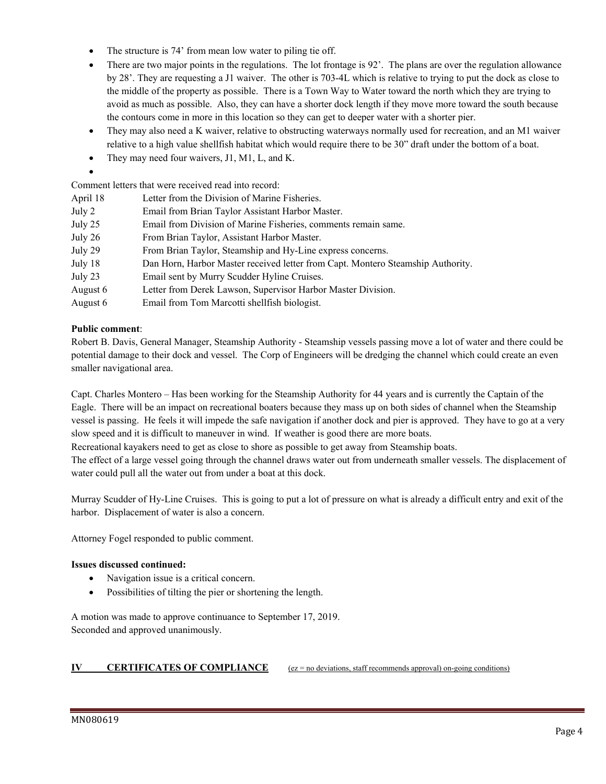- The structure is 74' from mean low water to piling tie off.
- There are two major points in the regulations. The lot frontage is 92'. The plans are over the regulation allowance by 28'. They are requesting a J1 waiver. The other is 703-4L which is relative to trying to put the dock as close to the middle of the property as possible. There is a Town Way to Water toward the north which they are trying to avoid as much as possible. Also, they can have a shorter dock length if they move more toward the south because the contours come in more in this location so they can get to deeper water with a shorter pier.
- They may also need a K waiver, relative to obstructing waterways normally used for recreation, and an M1 waiver relative to a high value shellfish habitat which would require there to be 30" draft under the bottom of a boat.
- They may need four waivers, J1, M1, L, and K.
- $\bullet$

Comment letters that were received read into record:

| April 18 | Letter from the Division of Marine Fisheries.                                   |  |  |  |
|----------|---------------------------------------------------------------------------------|--|--|--|
| July 2   | Email from Brian Taylor Assistant Harbor Master.                                |  |  |  |
| July 25  | Email from Division of Marine Fisheries, comments remain same.                  |  |  |  |
| July 26  | From Brian Taylor, Assistant Harbor Master.                                     |  |  |  |
| July 29  | From Brian Taylor, Steamship and Hy-Line express concerns.                      |  |  |  |
| July 18  | Dan Horn, Harbor Master received letter from Capt. Montero Steamship Authority. |  |  |  |
| July 23  | Email sent by Murry Scudder Hyline Cruises.                                     |  |  |  |
| August 6 | Letter from Derek Lawson, Supervisor Harbor Master Division.                    |  |  |  |
| August 6 | Email from Tom Marcotti shellfish biologist.                                    |  |  |  |

#### **Public comment**:

Robert B. Davis, General Manager, Steamship Authority - Steamship vessels passing move a lot of water and there could be potential damage to their dock and vessel. The Corp of Engineers will be dredging the channel which could create an even smaller navigational area.

Capt. Charles Montero – Has been working for the Steamship Authority for 44 years and is currently the Captain of the Eagle. There will be an impact on recreational boaters because they mass up on both sides of channel when the Steamship vessel is passing. He feels it will impede the safe navigation if another dock and pier is approved. They have to go at a very slow speed and it is difficult to maneuver in wind. If weather is good there are more boats.

Recreational kayakers need to get as close to shore as possible to get away from Steamship boats.

The effect of a large vessel going through the channel draws water out from underneath smaller vessels. The displacement of water could pull all the water out from under a boat at this dock.

Murray Scudder of Hy-Line Cruises. This is going to put a lot of pressure on what is already a difficult entry and exit of the harbor. Displacement of water is also a concern.

Attorney Fogel responded to public comment.

#### **Issues discussed continued:**

- Navigation issue is a critical concern.
- Possibilities of tilting the pier or shortening the length.

A motion was made to approve continuance to September 17, 2019. Seconded and approved unanimously.

#### **IV CERTIFICATES OF COMPLIANCE** (ez = no deviations, staff recommends approval) on-going conditions)